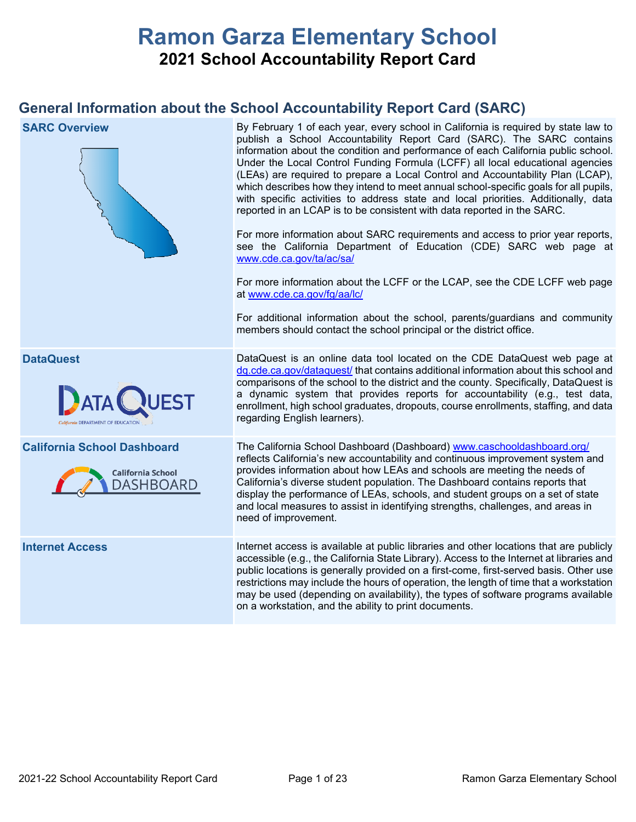# **Ramon Garza Elementary School 2021 School Accountability Report Card**

## **General Information about the School Accountability Report Card (SARC)**

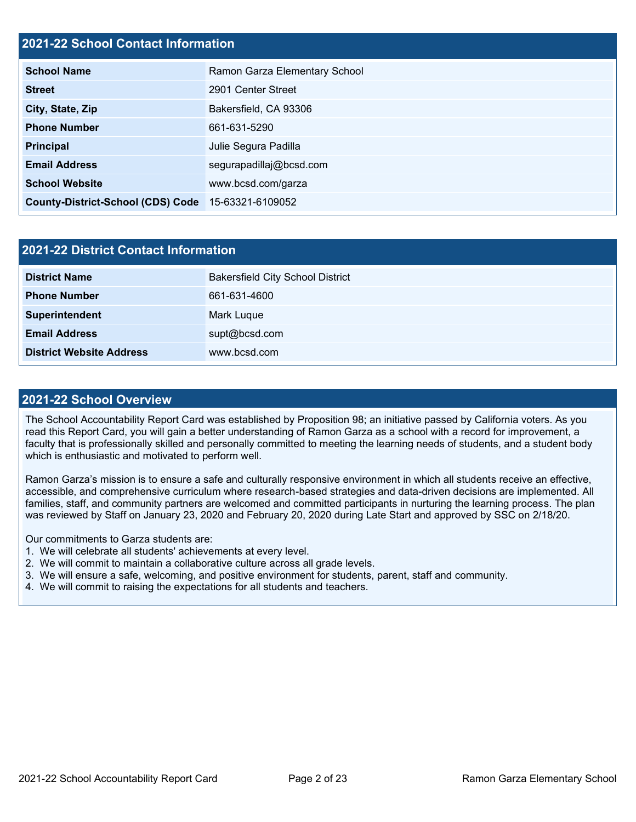### **2021-22 School Contact Information**

| <b>School Name</b>                       | Ramon Garza Elementary School |  |  |  |
|------------------------------------------|-------------------------------|--|--|--|
| <b>Street</b>                            | 2901 Center Street            |  |  |  |
| City, State, Zip                         | Bakersfield, CA 93306         |  |  |  |
| <b>Phone Number</b>                      | 661-631-5290                  |  |  |  |
| <b>Principal</b>                         | Julie Segura Padilla          |  |  |  |
| <b>Email Address</b>                     | segurapadillaj@bcsd.com       |  |  |  |
| <b>School Website</b>                    | www.bcsd.com/garza            |  |  |  |
| <b>County-District-School (CDS) Code</b> | 15-63321-6109052              |  |  |  |

| 2021-22 District Contact Information |                                         |  |  |  |
|--------------------------------------|-----------------------------------------|--|--|--|
| <b>District Name</b>                 | <b>Bakersfield City School District</b> |  |  |  |
| <b>Phone Number</b>                  | 661-631-4600                            |  |  |  |
| Superintendent                       | Mark Luque                              |  |  |  |
| <b>Email Address</b>                 | supt@bcsd.com                           |  |  |  |
| <b>District Website Address</b>      | www.bcsd.com                            |  |  |  |

#### **2021-22 School Overview**

The School Accountability Report Card was established by Proposition 98; an initiative passed by California voters. As you read this Report Card, you will gain a better understanding of Ramon Garza as a school with a record for improvement, a faculty that is professionally skilled and personally committed to meeting the learning needs of students, and a student body which is enthusiastic and motivated to perform well.

Ramon Garza's mission is to ensure a safe and culturally responsive environment in which all students receive an effective, accessible, and comprehensive curriculum where research-based strategies and data-driven decisions are implemented. All families, staff, and community partners are welcomed and committed participants in nurturing the learning process. The plan was reviewed by Staff on January 23, 2020 and February 20, 2020 during Late Start and approved by SSC on 2/18/20.

Our commitments to Garza students are:

- 1. We will celebrate all students' achievements at every level.
- 2. We will commit to maintain a collaborative culture across all grade levels.
- 3. We will ensure a safe, welcoming, and positive environment for students, parent, staff and community.
- 4. We will commit to raising the expectations for all students and teachers.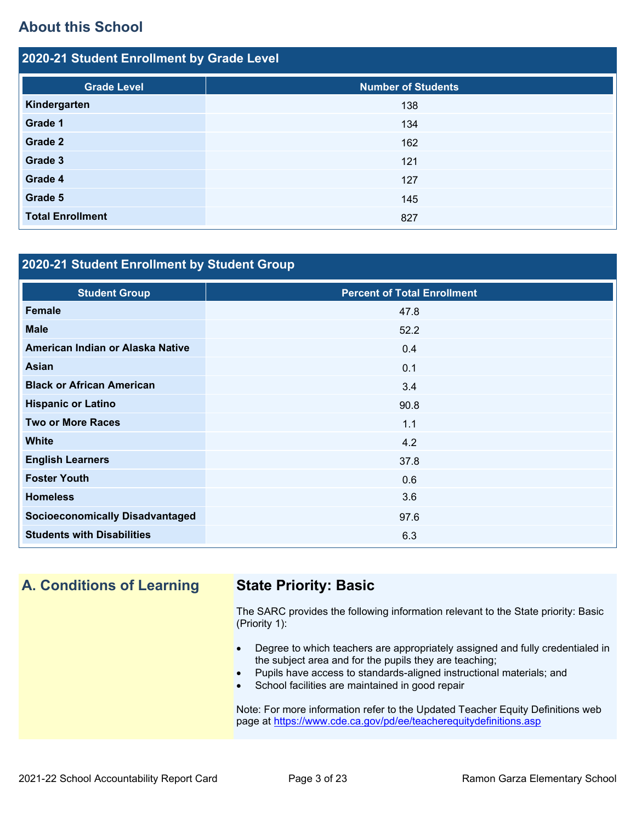## **About this School**

| 2020-21 Student Enrollment by Grade Level |                           |  |  |  |  |  |
|-------------------------------------------|---------------------------|--|--|--|--|--|
| <b>Grade Level</b>                        | <b>Number of Students</b> |  |  |  |  |  |
| Kindergarten                              | 138                       |  |  |  |  |  |
| Grade 1                                   | 134                       |  |  |  |  |  |
| Grade 2                                   | 162                       |  |  |  |  |  |
| Grade 3                                   | 121                       |  |  |  |  |  |
| Grade 4                                   | 127                       |  |  |  |  |  |
| Grade 5                                   | 145                       |  |  |  |  |  |
| <b>Total Enrollment</b>                   | 827                       |  |  |  |  |  |

## **2020-21 Student Enrollment by Student Group**

| <b>Student Group</b>                   | <b>Percent of Total Enrollment</b> |
|----------------------------------------|------------------------------------|
| <b>Female</b>                          | 47.8                               |
| <b>Male</b>                            | 52.2                               |
| American Indian or Alaska Native       | 0.4                                |
| <b>Asian</b>                           | 0.1                                |
| <b>Black or African American</b>       | 3.4                                |
| <b>Hispanic or Latino</b>              | 90.8                               |
| <b>Two or More Races</b>               | 1.1                                |
| <b>White</b>                           | 4.2                                |
| <b>English Learners</b>                | 37.8                               |
| <b>Foster Youth</b>                    | 0.6                                |
| <b>Homeless</b>                        | 3.6                                |
| <b>Socioeconomically Disadvantaged</b> | 97.6                               |
| <b>Students with Disabilities</b>      | 6.3                                |

## **A. Conditions of Learning State Priority: Basic**

The SARC provides the following information relevant to the State priority: Basic (Priority 1):

- Degree to which teachers are appropriately assigned and fully credentialed in the subject area and for the pupils they are teaching;
- Pupils have access to standards-aligned instructional materials; and
- School facilities are maintained in good repair

Note: For more information refer to the Updated Teacher Equity Definitions web page at<https://www.cde.ca.gov/pd/ee/teacherequitydefinitions.asp>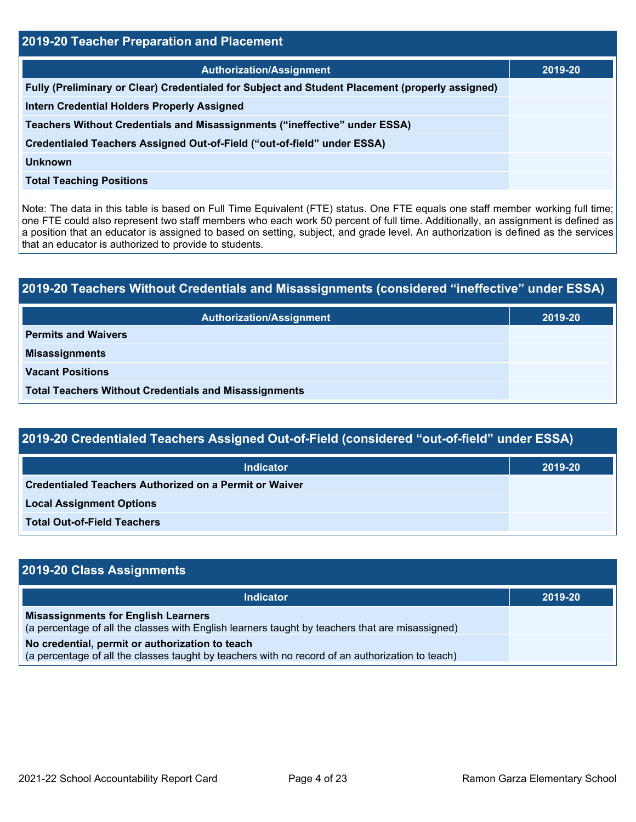| 2019-20 Teacher Preparation and Placement                                                       |         |  |  |  |
|-------------------------------------------------------------------------------------------------|---------|--|--|--|
| <b>Authorization/Assignment</b>                                                                 | 2019-20 |  |  |  |
| Fully (Preliminary or Clear) Credentialed for Subject and Student Placement (properly assigned) |         |  |  |  |
| <b>Intern Credential Holders Properly Assigned</b>                                              |         |  |  |  |
| Teachers Without Credentials and Misassignments ("ineffective" under ESSA)                      |         |  |  |  |
| Credentialed Teachers Assigned Out-of-Field ("out-of-field" under ESSA)                         |         |  |  |  |
| <b>Unknown</b>                                                                                  |         |  |  |  |
| <b>Total Teaching Positions</b>                                                                 |         |  |  |  |

Note: The data in this table is based on Full Time Equivalent (FTE) status. One FTE equals one staff member working full time; one FTE could also represent two staff members who each work 50 percent of full time. Additionally, an assignment is defined as a position that an educator is assigned to based on setting, subject, and grade level. An authorization is defined as the services that an educator is authorized to provide to students.

# **2019-20 Teachers Without Credentials and Misassignments (considered "ineffective" under ESSA) Authorization/Assignment 2019-20 Permits and Waivers Misassignments Vacant Positions Total Teachers Without Credentials and Misassignments**

| 2019-20 Credentialed Teachers Assigned Out-of-Field (considered "out-of-field" under ESSA) |         |  |  |  |  |
|--------------------------------------------------------------------------------------------|---------|--|--|--|--|
| Indicator                                                                                  | 2019-20 |  |  |  |  |
| Credentialed Teachers Authorized on a Permit or Waiver                                     |         |  |  |  |  |
| <b>Local Assignment Options</b>                                                            |         |  |  |  |  |
| <b>Total Out-of-Field Teachers</b>                                                         |         |  |  |  |  |

| 2019-20 Class Assignments                                                                                                                           |         |
|-----------------------------------------------------------------------------------------------------------------------------------------------------|---------|
| <b>Indicator</b>                                                                                                                                    | 2019-20 |
| <b>Misassignments for English Learners</b><br>(a percentage of all the classes with English learners taught by teachers that are misassigned)       |         |
| No credential, permit or authorization to teach<br>(a percentage of all the classes taught by teachers with no record of an authorization to teach) |         |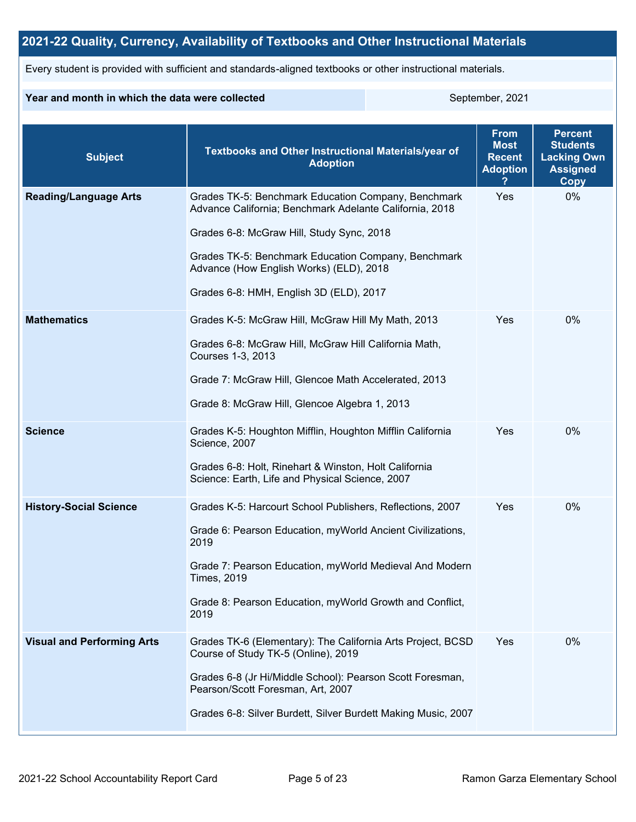## **2021-22 Quality, Currency, Availability of Textbooks and Other Instructional Materials**

Every student is provided with sufficient and standards-aligned textbooks or other instructional materials.

#### **Year and month in which the data were collected** September, 2021

| <b>Subject</b>                    | Textbooks and Other Instructional Materials/year of<br><b>Adoption</b>                                                                                                                                                                                                                                   | <b>From</b><br><b>Most</b><br><b>Recent</b><br><b>Adoption</b> | <b>Percent</b><br><b>Students</b><br><b>Lacking Own</b><br><b>Assigned</b><br>Copy |
|-----------------------------------|----------------------------------------------------------------------------------------------------------------------------------------------------------------------------------------------------------------------------------------------------------------------------------------------------------|----------------------------------------------------------------|------------------------------------------------------------------------------------|
| <b>Reading/Language Arts</b>      | Grades TK-5: Benchmark Education Company, Benchmark<br>Advance California; Benchmark Adelante California, 2018<br>Grades 6-8: McGraw Hill, Study Sync, 2018<br>Grades TK-5: Benchmark Education Company, Benchmark<br>Advance (How English Works) (ELD), 2018<br>Grades 6-8: HMH, English 3D (ELD), 2017 | Yes                                                            | 0%                                                                                 |
| <b>Mathematics</b>                | Grades K-5: McGraw Hill, McGraw Hill My Math, 2013<br>Grades 6-8: McGraw Hill, McGraw Hill California Math,<br>Courses 1-3, 2013<br>Grade 7: McGraw Hill, Glencoe Math Accelerated, 2013<br>Grade 8: McGraw Hill, Glencoe Algebra 1, 2013                                                                | Yes                                                            | 0%                                                                                 |
| <b>Science</b>                    | Grades K-5: Houghton Mifflin, Houghton Mifflin California<br>Science, 2007<br>Grades 6-8: Holt, Rinehart & Winston, Holt California<br>Science: Earth, Life and Physical Science, 2007                                                                                                                   | Yes                                                            | 0%                                                                                 |
| <b>History-Social Science</b>     | Grades K-5: Harcourt School Publishers, Reflections, 2007<br>Grade 6: Pearson Education, myWorld Ancient Civilizations,<br>2019<br>Grade 7: Pearson Education, myWorld Medieval And Modern<br><b>Times, 2019</b><br>Grade 8: Pearson Education, myWorld Growth and Conflict,<br>2019                     | Yes                                                            | 0%                                                                                 |
| <b>Visual and Performing Arts</b> | Grades TK-6 (Elementary): The California Arts Project, BCSD<br>Course of Study TK-5 (Online), 2019<br>Grades 6-8 (Jr Hi/Middle School): Pearson Scott Foresman,<br>Pearson/Scott Foresman, Art, 2007<br>Grades 6-8: Silver Burdett, Silver Burdett Making Music, 2007                                    | Yes                                                            | 0%                                                                                 |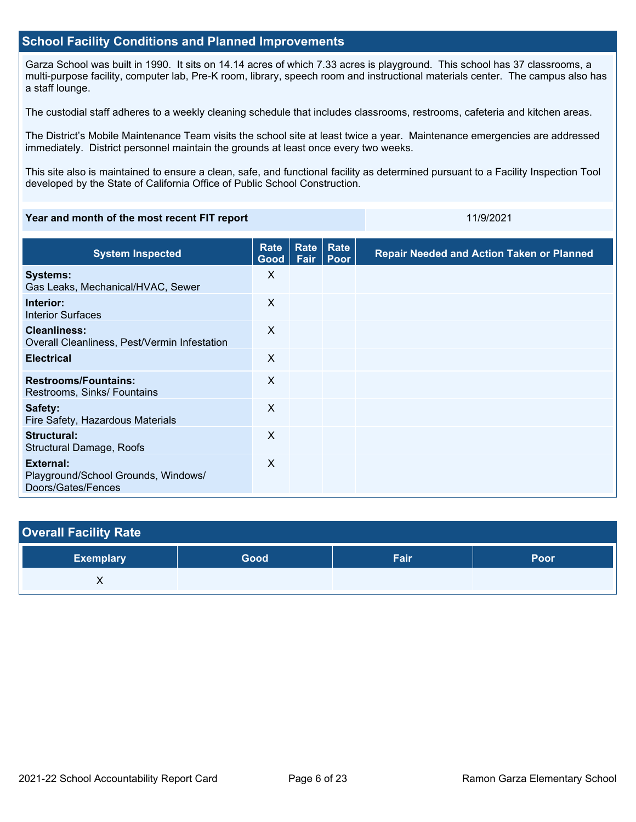#### **School Facility Conditions and Planned Improvements**

Garza School was built in 1990. It sits on 14.14 acres of which 7.33 acres is playground. This school has 37 classrooms, a multi-purpose facility, computer lab, Pre-K room, library, speech room and instructional materials center. The campus also has a staff lounge.

The custodial staff adheres to a weekly cleaning schedule that includes classrooms, restrooms, cafeteria and kitchen areas.

The District's Mobile Maintenance Team visits the school site at least twice a year. Maintenance emergencies are addressed immediately. District personnel maintain the grounds at least once every two weeks.

This site also is maintained to ensure a clean, safe, and functional facility as determined pursuant to a Facility Inspection Tool developed by the State of California Office of Public School Construction.

#### **Year and month of the most recent FIT report** 11/9/2021 11/9/2021

| <b>System Inspected</b>                                                | <b>Rate</b><br>Good | <b>Rate</b><br>Fair | Rate<br>Poor | <b>Repair Needed and Action Taken or Planned</b> |
|------------------------------------------------------------------------|---------------------|---------------------|--------------|--------------------------------------------------|
| <b>Systems:</b><br>Gas Leaks, Mechanical/HVAC, Sewer                   | X                   |                     |              |                                                  |
| Interior:<br><b>Interior Surfaces</b>                                  | X                   |                     |              |                                                  |
| <b>Cleanliness:</b><br>Overall Cleanliness, Pest/Vermin Infestation    | X                   |                     |              |                                                  |
| <b>Electrical</b>                                                      | X                   |                     |              |                                                  |
| <b>Restrooms/Fountains:</b><br>Restrooms, Sinks/ Fountains             | X                   |                     |              |                                                  |
| Safety:<br>Fire Safety, Hazardous Materials                            | $\sf X$             |                     |              |                                                  |
| Structural:<br>Structural Damage, Roofs                                | X                   |                     |              |                                                  |
| External:<br>Playground/School Grounds, Windows/<br>Doors/Gates/Fences | $\times$            |                     |              |                                                  |

| <b>Overall Facility Rate</b> |      |      |      |
|------------------------------|------|------|------|
| <b>Exemplary</b>             | Good | Fair | Poor |
| Λ                            |      |      |      |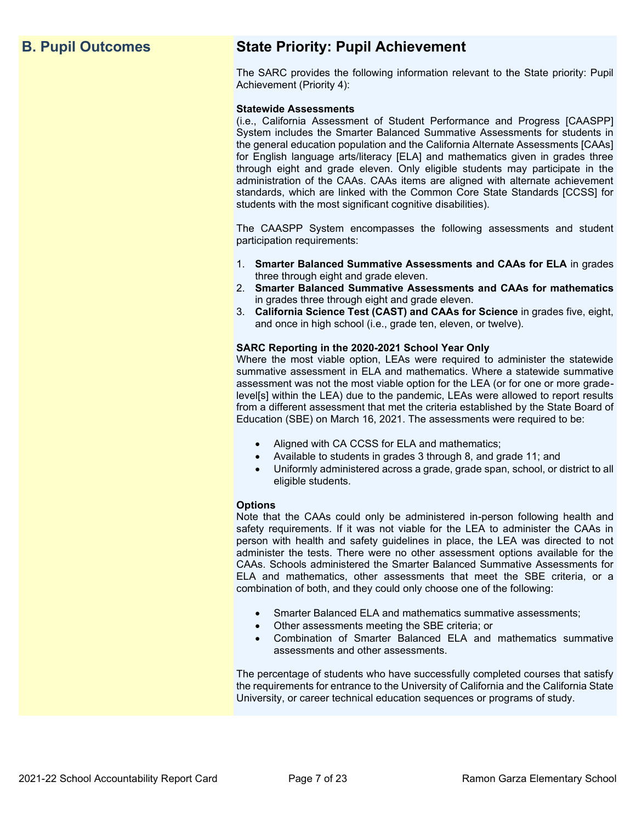## **B. Pupil Outcomes State Priority: Pupil Achievement**

The SARC provides the following information relevant to the State priority: Pupil Achievement (Priority 4):

#### **Statewide Assessments**

(i.e., California Assessment of Student Performance and Progress [CAASPP] System includes the Smarter Balanced Summative Assessments for students in the general education population and the California Alternate Assessments [CAAs] for English language arts/literacy [ELA] and mathematics given in grades three through eight and grade eleven. Only eligible students may participate in the administration of the CAAs. CAAs items are aligned with alternate achievement standards, which are linked with the Common Core State Standards [CCSS] for students with the most significant cognitive disabilities).

The CAASPP System encompasses the following assessments and student participation requirements:

- 1. **Smarter Balanced Summative Assessments and CAAs for ELA** in grades three through eight and grade eleven.
- 2. **Smarter Balanced Summative Assessments and CAAs for mathematics** in grades three through eight and grade eleven.
- 3. **California Science Test (CAST) and CAAs for Science** in grades five, eight, and once in high school (i.e., grade ten, eleven, or twelve).

#### **SARC Reporting in the 2020-2021 School Year Only**

Where the most viable option, LEAs were required to administer the statewide summative assessment in ELA and mathematics. Where a statewide summative assessment was not the most viable option for the LEA (or for one or more gradelevel[s] within the LEA) due to the pandemic, LEAs were allowed to report results from a different assessment that met the criteria established by the State Board of Education (SBE) on March 16, 2021. The assessments were required to be:

- Aligned with CA CCSS for ELA and mathematics;
- Available to students in grades 3 through 8, and grade 11; and
- Uniformly administered across a grade, grade span, school, or district to all eligible students.

#### **Options**

Note that the CAAs could only be administered in-person following health and safety requirements. If it was not viable for the LEA to administer the CAAs in person with health and safety guidelines in place, the LEA was directed to not administer the tests. There were no other assessment options available for the CAAs. Schools administered the Smarter Balanced Summative Assessments for ELA and mathematics, other assessments that meet the SBE criteria, or a combination of both, and they could only choose one of the following:

- Smarter Balanced ELA and mathematics summative assessments;
- Other assessments meeting the SBE criteria; or
- Combination of Smarter Balanced ELA and mathematics summative assessments and other assessments.

The percentage of students who have successfully completed courses that satisfy the requirements for entrance to the University of California and the California State University, or career technical education sequences or programs of study.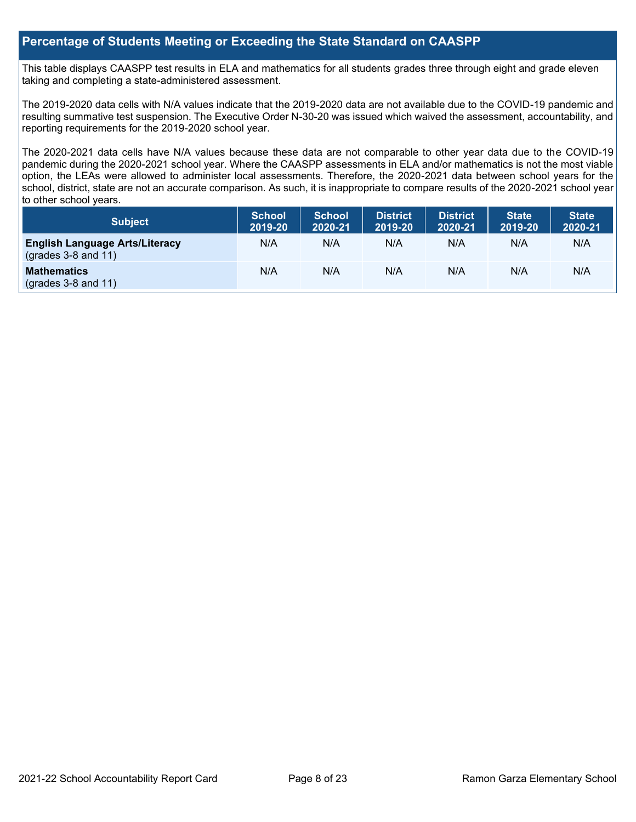### **Percentage of Students Meeting or Exceeding the State Standard on CAASPP**

This table displays CAASPP test results in ELA and mathematics for all students grades three through eight and grade eleven taking and completing a state-administered assessment.

The 2019-2020 data cells with N/A values indicate that the 2019-2020 data are not available due to the COVID-19 pandemic and resulting summative test suspension. The Executive Order N-30-20 was issued which waived the assessment, accountability, and reporting requirements for the 2019-2020 school year.

The 2020-2021 data cells have N/A values because these data are not comparable to other year data due to the COVID-19 pandemic during the 2020-2021 school year. Where the CAASPP assessments in ELA and/or mathematics is not the most viable option, the LEAs were allowed to administer local assessments. Therefore, the 2020-2021 data between school years for the school, district, state are not an accurate comparison. As such, it is inappropriate to compare results of the 2020-2021 school year to other school years.

| Subject                                                              | <b>School</b><br>2019-20 | <b>School</b><br>2020-21 | <b>District</b><br>2019-20 | <b>District</b><br>2020-21 | <b>State</b><br>2019-20 | <b>State</b><br>2020-21 |
|----------------------------------------------------------------------|--------------------------|--------------------------|----------------------------|----------------------------|-------------------------|-------------------------|
| <b>English Language Arts/Literacy</b><br>$\left($ grades 3-8 and 11) | N/A                      | N/A                      | N/A                        | N/A                        | N/A                     | N/A                     |
| <b>Mathematics</b><br>$(grades 3-8 and 11)$                          | N/A                      | N/A                      | N/A                        | N/A                        | N/A                     | N/A                     |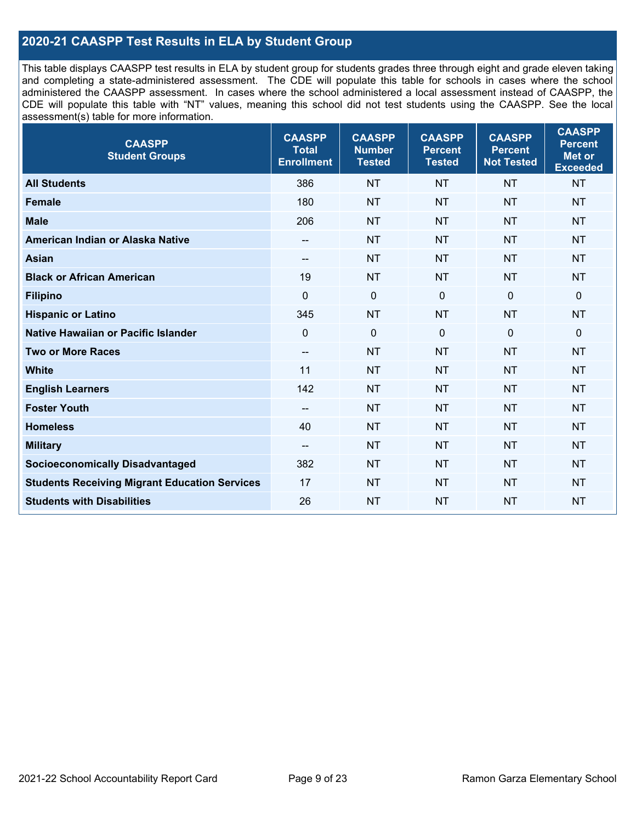## **2020-21 CAASPP Test Results in ELA by Student Group**

This table displays CAASPP test results in ELA by student group for students grades three through eight and grade eleven taking and completing a state-administered assessment. The CDE will populate this table for schools in cases where the school administered the CAASPP assessment. In cases where the school administered a local assessment instead of CAASPP, the CDE will populate this table with "NT" values, meaning this school did not test students using the CAASPP. See the local assessment(s) table for more information.

| <b>CAASPP</b><br><b>Student Groups</b>               | <b>CAASPP</b><br><b>Total</b><br><b>Enrollment</b> | <b>CAASPP</b><br><b>Number</b><br><b>Tested</b> | <b>CAASPP</b><br><b>Percent</b><br><b>Tested</b> | <b>CAASPP</b><br><b>Percent</b><br><b>Not Tested</b> | <b>CAASPP</b><br><b>Percent</b><br>Met or<br><b>Exceeded</b> |
|------------------------------------------------------|----------------------------------------------------|-------------------------------------------------|--------------------------------------------------|------------------------------------------------------|--------------------------------------------------------------|
| <b>All Students</b>                                  | 386                                                | <b>NT</b>                                       | <b>NT</b>                                        | <b>NT</b>                                            | <b>NT</b>                                                    |
| <b>Female</b>                                        | 180                                                | <b>NT</b>                                       | <b>NT</b>                                        | <b>NT</b>                                            | <b>NT</b>                                                    |
| <b>Male</b>                                          | 206                                                | <b>NT</b>                                       | <b>NT</b>                                        | <b>NT</b>                                            | <b>NT</b>                                                    |
| American Indian or Alaska Native                     | --                                                 | <b>NT</b>                                       | <b>NT</b>                                        | <b>NT</b>                                            | <b>NT</b>                                                    |
| <b>Asian</b>                                         | --                                                 | <b>NT</b>                                       | <b>NT</b>                                        | <b>NT</b>                                            | <b>NT</b>                                                    |
| <b>Black or African American</b>                     | 19                                                 | <b>NT</b>                                       | <b>NT</b>                                        | <b>NT</b>                                            | <b>NT</b>                                                    |
| <b>Filipino</b>                                      | $\mathbf 0$                                        | $\mathbf 0$                                     | $\Omega$                                         | $\mathbf 0$                                          | 0                                                            |
| <b>Hispanic or Latino</b>                            | 345                                                | <b>NT</b>                                       | <b>NT</b>                                        | <b>NT</b>                                            | <b>NT</b>                                                    |
| <b>Native Hawaiian or Pacific Islander</b>           | $\mathbf 0$                                        | $\mathbf 0$                                     | $\mathbf 0$                                      | $\mathbf 0$                                          | 0                                                            |
| <b>Two or More Races</b>                             | $\overline{\phantom{a}}$                           | <b>NT</b>                                       | <b>NT</b>                                        | <b>NT</b>                                            | <b>NT</b>                                                    |
| <b>White</b>                                         | 11                                                 | <b>NT</b>                                       | <b>NT</b>                                        | <b>NT</b>                                            | <b>NT</b>                                                    |
| <b>English Learners</b>                              | 142                                                | <b>NT</b>                                       | <b>NT</b>                                        | <b>NT</b>                                            | <b>NT</b>                                                    |
| <b>Foster Youth</b>                                  | $\overline{a}$                                     | <b>NT</b>                                       | <b>NT</b>                                        | <b>NT</b>                                            | <b>NT</b>                                                    |
| <b>Homeless</b>                                      | 40                                                 | <b>NT</b>                                       | <b>NT</b>                                        | <b>NT</b>                                            | <b>NT</b>                                                    |
| <b>Military</b>                                      | $\overline{\phantom{a}}$                           | <b>NT</b>                                       | <b>NT</b>                                        | <b>NT</b>                                            | <b>NT</b>                                                    |
| <b>Socioeconomically Disadvantaged</b>               | 382                                                | <b>NT</b>                                       | <b>NT</b>                                        | <b>NT</b>                                            | <b>NT</b>                                                    |
| <b>Students Receiving Migrant Education Services</b> | 17                                                 | <b>NT</b>                                       | <b>NT</b>                                        | <b>NT</b>                                            | <b>NT</b>                                                    |
| <b>Students with Disabilities</b>                    | 26                                                 | <b>NT</b>                                       | <b>NT</b>                                        | <b>NT</b>                                            | <b>NT</b>                                                    |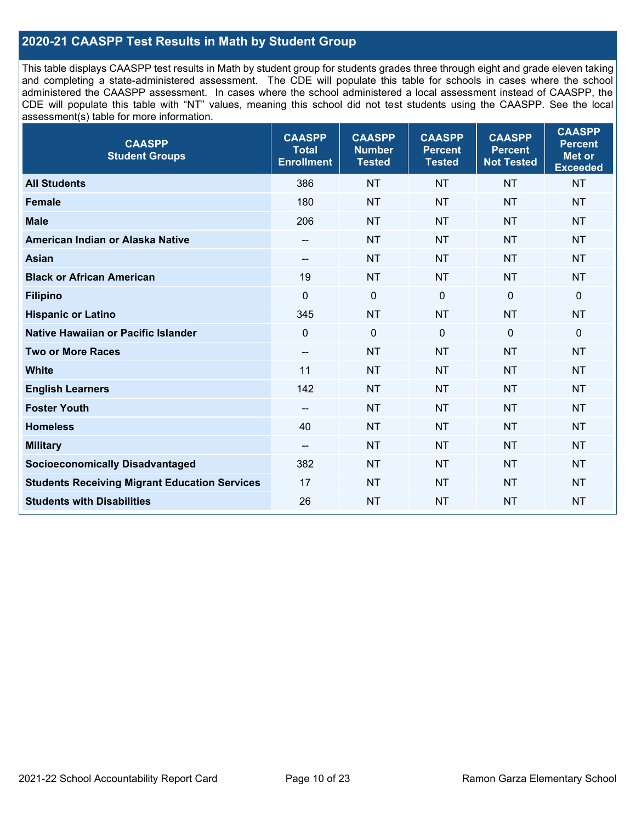## **2020-21 CAASPP Test Results in Math by Student Group**

This table displays CAASPP test results in Math by student group for students grades three through eight and grade eleven taking and completing a state-administered assessment. The CDE will populate this table for schools in cases where the school administered the CAASPP assessment. In cases where the school administered a local assessment instead of CAASPP, the CDE will populate this table with "NT" values, meaning this school did not test students using the CAASPP. See the local assessment(s) table for more information.

| <b>CAASPP</b><br><b>Student Groups</b>               | <b>CAASPP</b><br><b>Total</b><br><b>Enrollment</b> | <b>CAASPP</b><br><b>Number</b><br><b>Tested</b> | <b>CAASPP</b><br><b>Percent</b><br><b>Tested</b> | <b>CAASPP</b><br><b>Percent</b><br><b>Not Tested</b> | <b>CAASPP</b><br><b>Percent</b><br>Met or<br><b>Exceeded</b> |
|------------------------------------------------------|----------------------------------------------------|-------------------------------------------------|--------------------------------------------------|------------------------------------------------------|--------------------------------------------------------------|
| <b>All Students</b>                                  | 386                                                | <b>NT</b>                                       | <b>NT</b>                                        | <b>NT</b>                                            | <b>NT</b>                                                    |
| <b>Female</b>                                        | 180                                                | <b>NT</b>                                       | <b>NT</b>                                        | <b>NT</b>                                            | <b>NT</b>                                                    |
| <b>Male</b>                                          | 206                                                | <b>NT</b>                                       | <b>NT</b>                                        | <b>NT</b>                                            | <b>NT</b>                                                    |
| American Indian or Alaska Native                     | $\qquad \qquad -$                                  | <b>NT</b>                                       | <b>NT</b>                                        | <b>NT</b>                                            | <b>NT</b>                                                    |
| <b>Asian</b>                                         | --                                                 | <b>NT</b>                                       | <b>NT</b>                                        | <b>NT</b>                                            | <b>NT</b>                                                    |
| <b>Black or African American</b>                     | 19                                                 | <b>NT</b>                                       | <b>NT</b>                                        | <b>NT</b>                                            | <b>NT</b>                                                    |
| <b>Filipino</b>                                      | $\mathbf 0$                                        | $\mathbf 0$                                     | $\Omega$                                         | $\mathbf 0$                                          | $\mathbf 0$                                                  |
| <b>Hispanic or Latino</b>                            | 345                                                | <b>NT</b>                                       | <b>NT</b>                                        | <b>NT</b>                                            | <b>NT</b>                                                    |
| Native Hawaiian or Pacific Islander                  | $\mathbf 0$                                        | $\mathbf 0$                                     | $\mathbf{0}$                                     | $\overline{0}$                                       | $\mathbf 0$                                                  |
| <b>Two or More Races</b>                             | $\overline{a}$                                     | <b>NT</b>                                       | <b>NT</b>                                        | <b>NT</b>                                            | <b>NT</b>                                                    |
| <b>White</b>                                         | 11                                                 | <b>NT</b>                                       | <b>NT</b>                                        | <b>NT</b>                                            | <b>NT</b>                                                    |
| <b>English Learners</b>                              | 142                                                | <b>NT</b>                                       | <b>NT</b>                                        | <b>NT</b>                                            | <b>NT</b>                                                    |
| <b>Foster Youth</b>                                  | $\overline{\phantom{a}}$                           | <b>NT</b>                                       | <b>NT</b>                                        | <b>NT</b>                                            | <b>NT</b>                                                    |
| <b>Homeless</b>                                      | 40                                                 | <b>NT</b>                                       | <b>NT</b>                                        | <b>NT</b>                                            | <b>NT</b>                                                    |
| <b>Military</b>                                      | $\overline{\phantom{a}}$                           | <b>NT</b>                                       | <b>NT</b>                                        | <b>NT</b>                                            | <b>NT</b>                                                    |
| <b>Socioeconomically Disadvantaged</b>               | 382                                                | <b>NT</b>                                       | <b>NT</b>                                        | <b>NT</b>                                            | <b>NT</b>                                                    |
| <b>Students Receiving Migrant Education Services</b> | 17                                                 | <b>NT</b>                                       | <b>NT</b>                                        | <b>NT</b>                                            | NT                                                           |
| <b>Students with Disabilities</b>                    | 26                                                 | <b>NT</b>                                       | <b>NT</b>                                        | <b>NT</b>                                            | <b>NT</b>                                                    |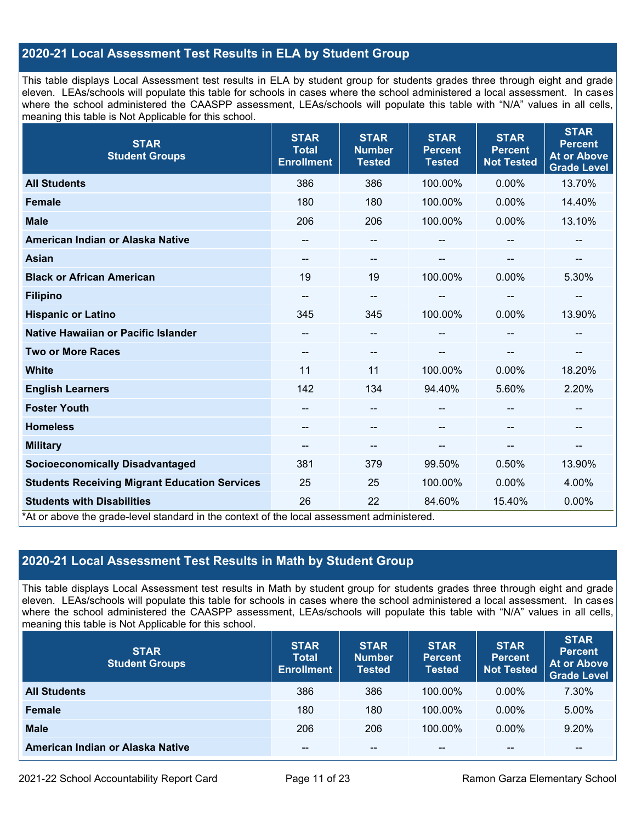## **2020-21 Local Assessment Test Results in ELA by Student Group**

This table displays Local Assessment test results in ELA by student group for students grades three through eight and grade eleven. LEAs/schools will populate this table for schools in cases where the school administered a local assessment. In cases where the school administered the CAASPP assessment, LEAs/schools will populate this table with "N/A" values in all cells, meaning this table is Not Applicable for this school.

| <b>STAR</b><br><b>Student Groups</b>                                                                                            | <b>STAR</b><br><b>Total</b><br><b>Enrollment</b> | <b>STAR</b><br><b>Number</b><br><b>Tested</b> | <b>STAR</b><br><b>Percent</b><br><b>Tested</b> | <b>STAR</b><br><b>Percent</b><br><b>Not Tested</b> | <b>STAR</b><br><b>Percent</b><br><b>At or Above</b><br><b>Grade Level</b> |
|---------------------------------------------------------------------------------------------------------------------------------|--------------------------------------------------|-----------------------------------------------|------------------------------------------------|----------------------------------------------------|---------------------------------------------------------------------------|
| <b>All Students</b>                                                                                                             | 386                                              | 386                                           | 100.00%                                        | $0.00\%$                                           | 13.70%                                                                    |
| <b>Female</b>                                                                                                                   | 180                                              | 180                                           | 100.00%                                        | 0.00%                                              | 14.40%                                                                    |
| <b>Male</b>                                                                                                                     | 206                                              | 206                                           | 100.00%                                        | 0.00%                                              | 13.10%                                                                    |
| American Indian or Alaska Native                                                                                                | --                                               | --                                            | --                                             |                                                    | --                                                                        |
| <b>Asian</b>                                                                                                                    | --                                               | $\qquad \qquad -$                             | --                                             | --                                                 | --                                                                        |
| <b>Black or African American</b>                                                                                                | 19                                               | 19                                            | 100.00%                                        | 0.00%                                              | 5.30%                                                                     |
| <b>Filipino</b>                                                                                                                 |                                                  | --                                            | --                                             | --                                                 | --                                                                        |
| <b>Hispanic or Latino</b>                                                                                                       | 345                                              | 345                                           | 100.00%                                        | 0.00%                                              | 13.90%                                                                    |
| Native Hawaiian or Pacific Islander                                                                                             |                                                  | --                                            |                                                |                                                    |                                                                           |
| <b>Two or More Races</b>                                                                                                        | --                                               | --                                            |                                                |                                                    |                                                                           |
| <b>White</b>                                                                                                                    | 11                                               | 11                                            | 100.00%                                        | $0.00\%$                                           | 18.20%                                                                    |
| <b>English Learners</b>                                                                                                         | 142                                              | 134                                           | 94.40%                                         | 5.60%                                              | 2.20%                                                                     |
| <b>Foster Youth</b>                                                                                                             |                                                  | $\qquad \qquad -$                             |                                                |                                                    | $\hspace{0.05cm}$                                                         |
| <b>Homeless</b>                                                                                                                 |                                                  | --                                            |                                                |                                                    |                                                                           |
| <b>Military</b>                                                                                                                 | $\hspace{0.05cm}$ – $\hspace{0.05cm}$            | $\qquad \qquad -$                             | --                                             | $-$                                                | $\overline{\phantom{a}}$                                                  |
| <b>Socioeconomically Disadvantaged</b>                                                                                          | 381                                              | 379                                           | 99.50%                                         | 0.50%                                              | 13.90%                                                                    |
| <b>Students Receiving Migrant Education Services</b>                                                                            | 25                                               | 25                                            | 100.00%                                        | $0.00\%$                                           | 4.00%                                                                     |
| <b>Students with Disabilities</b><br>*At or above the grade-level standard in the context of the local assessment administered. | 26                                               | 22                                            | 84.60%                                         | 15.40%                                             | 0.00%                                                                     |

## **2020-21 Local Assessment Test Results in Math by Student Group**

This table displays Local Assessment test results in Math by student group for students grades three through eight and grade eleven. LEAs/schools will populate this table for schools in cases where the school administered a local assessment. In cases where the school administered the CAASPP assessment, LEAs/schools will populate this table with "N/A" values in all cells, meaning this table is Not Applicable for this school.

| <b>STAR</b><br><b>Student Groups</b> | <b>STAR</b><br><b>Total</b><br><b>Enrollment</b> | <b>STAR</b><br><b>Number</b><br><b>Tested</b> | <b>STAR</b><br><b>Percent</b><br><b>Tested</b> | <b>STAR</b><br><b>Percent</b><br><b>Not Tested</b> | <b>STAR</b><br><b>Percent</b><br>At or Above<br><b>Grade Level</b> |
|--------------------------------------|--------------------------------------------------|-----------------------------------------------|------------------------------------------------|----------------------------------------------------|--------------------------------------------------------------------|
| <b>All Students</b>                  | 386                                              | 386                                           | 100.00%                                        | $0.00\%$                                           | 7.30%                                                              |
| <b>Female</b>                        | 180                                              | 180                                           | 100.00%                                        | $0.00\%$                                           | 5.00%                                                              |
| <b>Male</b>                          | 206                                              | 206                                           | 100.00%                                        | $0.00\%$                                           | 9.20%                                                              |
| American Indian or Alaska Native     | $- -$                                            | $\sim$ $\sim$                                 | $- -$                                          | --                                                 | --                                                                 |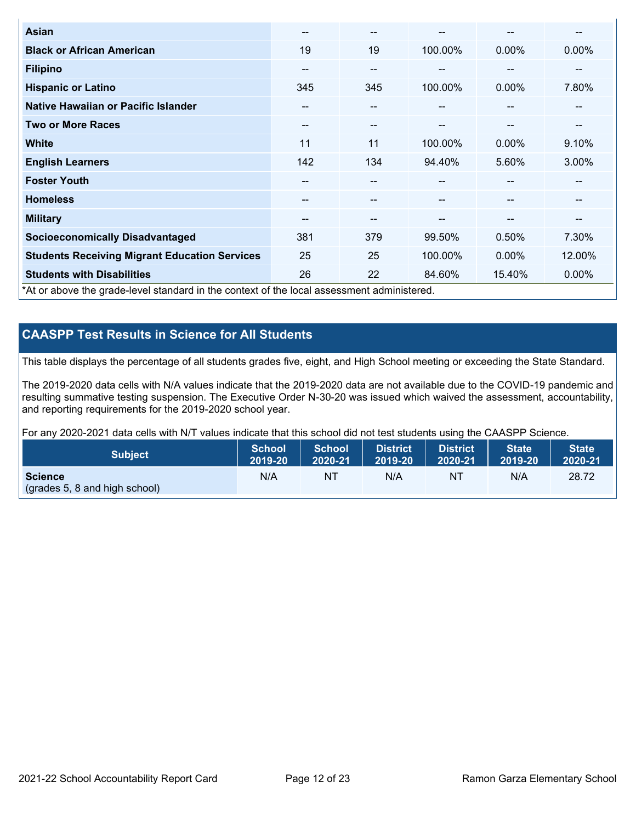| <b>Asian</b>                                                                               | $- -$                    | --    |               | --       | --     |
|--------------------------------------------------------------------------------------------|--------------------------|-------|---------------|----------|--------|
| <b>Black or African American</b>                                                           | 19                       | 19    | 100.00%       | 0.00%    | 0.00%  |
| <b>Filipino</b>                                                                            | --                       | $- -$ | --            | --       | --     |
| <b>Hispanic or Latino</b>                                                                  | 345                      | 345   | 100.00%       | 0.00%    | 7.80%  |
| Native Hawaiian or Pacific Islander                                                        | $\overline{\phantom{m}}$ | $- -$ | $-$           | --       | --     |
| <b>Two or More Races</b>                                                                   | $\sim$ $\sim$            | $- -$ | $\sim$ $\sim$ | --       | --     |
| <b>White</b>                                                                               | 11                       | 11    | 100.00%       | $0.00\%$ | 9.10%  |
| <b>English Learners</b>                                                                    | 142                      | 134   | 94.40%        | 5.60%    | 3.00%  |
| <b>Foster Youth</b>                                                                        | --                       | --    |               | --       | --     |
| <b>Homeless</b>                                                                            | --                       | --    |               | --       | --     |
| <b>Military</b>                                                                            | --                       | --    | --            | --       | --     |
| <b>Socioeconomically Disadvantaged</b>                                                     | 381                      | 379   | 99.50%        | 0.50%    | 7.30%  |
| <b>Students Receiving Migrant Education Services</b>                                       | 25                       | 25    | 100.00%       | $0.00\%$ | 12.00% |
| <b>Students with Disabilities</b>                                                          | 26                       | 22    | 84.60%        | 15.40%   | 0.00%  |
| *At or above the grade-level standard in the context of the local assessment administered. |                          |       |               |          |        |

## **CAASPP Test Results in Science for All Students**

This table displays the percentage of all students grades five, eight, and High School meeting or exceeding the State Standard.

The 2019-2020 data cells with N/A values indicate that the 2019-2020 data are not available due to the COVID-19 pandemic and resulting summative testing suspension. The Executive Order N-30-20 was issued which waived the assessment, accountability, and reporting requirements for the 2019-2020 school year.

For any 2020-2021 data cells with N/T values indicate that this school did not test students using the CAASPP Science.

| <b>Subject</b>                | School<br>2019-20 | <b>School</b><br>2020-21 | <b>District</b><br>2019-20 | District<br>2020-21 | State <sup>1</sup><br>2019-20 | <b>State</b><br>2020-21 |
|-------------------------------|-------------------|--------------------------|----------------------------|---------------------|-------------------------------|-------------------------|
| <b>Science</b>                | N/A               | NΤ                       | N/A                        | 'NT                 | N/A                           | 28.72                   |
| (grades 5, 8 and high school) |                   |                          |                            |                     |                               |                         |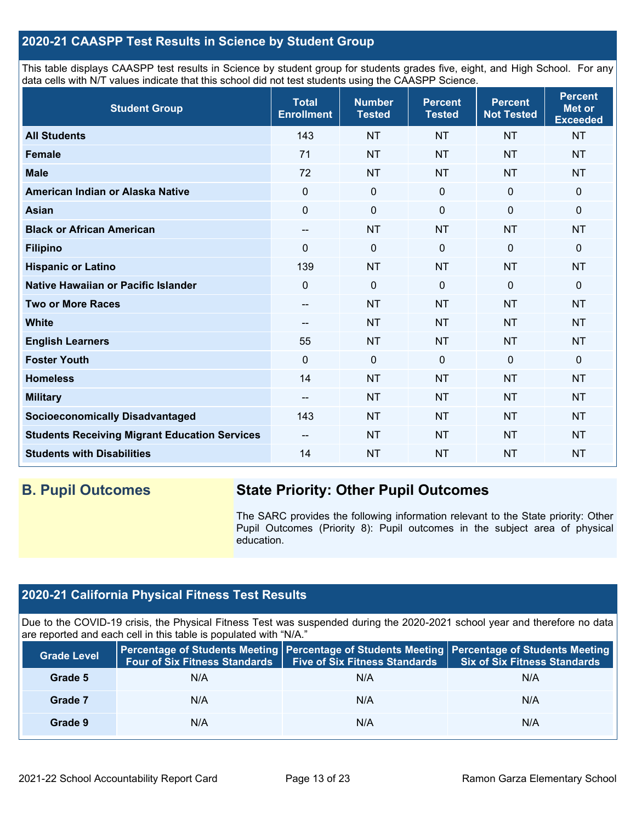## **2020-21 CAASPP Test Results in Science by Student Group**

This table displays CAASPP test results in Science by student group for students grades five, eight, and High School. For any data cells with N/T values indicate that this school did not test students using the CAASPP Science.

| <b>Student Group</b>                                 | <b>Total</b><br><b>Enrollment</b> | <b>Number</b><br><b>Tested</b> | <b>Percent</b><br><b>Tested</b> | <b>Percent</b><br><b>Not Tested</b> | <b>Percent</b><br><b>Met or</b><br><b>Exceeded</b> |
|------------------------------------------------------|-----------------------------------|--------------------------------|---------------------------------|-------------------------------------|----------------------------------------------------|
| <b>All Students</b>                                  | 143                               | <b>NT</b>                      | <b>NT</b>                       | <b>NT</b>                           | <b>NT</b>                                          |
| <b>Female</b>                                        | 71                                | <b>NT</b>                      | <b>NT</b>                       | <b>NT</b>                           | <b>NT</b>                                          |
| <b>Male</b>                                          | 72                                | <b>NT</b>                      | <b>NT</b>                       | <b>NT</b>                           | <b>NT</b>                                          |
| American Indian or Alaska Native                     | 0                                 | $\mathbf 0$                    | $\mathbf 0$                     | $\mathbf 0$                         | $\mathbf 0$                                        |
| <b>Asian</b>                                         | $\mathbf 0$                       | $\pmb{0}$                      | $\mathbf 0$                     | $\mathbf 0$                         | 0                                                  |
| <b>Black or African American</b>                     | $\overline{\phantom{a}}$          | <b>NT</b>                      | <b>NT</b>                       | <b>NT</b>                           | <b>NT</b>                                          |
| <b>Filipino</b>                                      | $\Omega$                          | $\mathbf 0$                    | $\Omega$                        | $\mathbf{0}$                        | $\mathbf 0$                                        |
| <b>Hispanic or Latino</b>                            | 139                               | <b>NT</b>                      | <b>NT</b>                       | <b>NT</b>                           | <b>NT</b>                                          |
| Native Hawaiian or Pacific Islander                  | $\Omega$                          | $\mathbf 0$                    | $\Omega$                        | $\mathbf 0$                         | $\mathbf 0$                                        |
| <b>Two or More Races</b>                             | --                                | <b>NT</b>                      | <b>NT</b>                       | <b>NT</b>                           | <b>NT</b>                                          |
| <b>White</b>                                         | --                                | <b>NT</b>                      | <b>NT</b>                       | <b>NT</b>                           | <b>NT</b>                                          |
| <b>English Learners</b>                              | 55                                | <b>NT</b>                      | <b>NT</b>                       | <b>NT</b>                           | <b>NT</b>                                          |
| <b>Foster Youth</b>                                  | $\mathbf 0$                       | $\mathbf 0$                    | $\mathbf 0$                     | $\overline{0}$                      | $\mathbf 0$                                        |
| <b>Homeless</b>                                      | 14                                | <b>NT</b>                      | <b>NT</b>                       | <b>NT</b>                           | <b>NT</b>                                          |
| <b>Military</b>                                      | --                                | <b>NT</b>                      | <b>NT</b>                       | <b>NT</b>                           | <b>NT</b>                                          |
| <b>Socioeconomically Disadvantaged</b>               | 143                               | <b>NT</b>                      | <b>NT</b>                       | <b>NT</b>                           | <b>NT</b>                                          |
| <b>Students Receiving Migrant Education Services</b> | $\qquad \qquad -$                 | <b>NT</b>                      | <b>NT</b>                       | <b>NT</b>                           | <b>NT</b>                                          |
| <b>Students with Disabilities</b>                    | 14                                | <b>NT</b>                      | <b>NT</b>                       | <b>NT</b>                           | <b>NT</b>                                          |

## **B. Pupil Outcomes State Priority: Other Pupil Outcomes**

The SARC provides the following information relevant to the State priority: Other Pupil Outcomes (Priority 8): Pupil outcomes in the subject area of physical education.

## **2020-21 California Physical Fitness Test Results**

Due to the COVID-19 crisis, the Physical Fitness Test was suspended during the 2020-2021 school year and therefore no data are reported and each cell in this table is populated with "N/A."

| <b>Grade Level</b> | <b>Four of Six Fitness Standards</b> | <b>Five of Six Fitness Standards</b> | Percentage of Students Meeting   Percentage of Students Meeting   Percentage of Students Meeting<br><b>Six of Six Fitness Standards</b> |
|--------------------|--------------------------------------|--------------------------------------|-----------------------------------------------------------------------------------------------------------------------------------------|
| Grade 5            | N/A                                  | N/A                                  | N/A                                                                                                                                     |
| Grade 7            | N/A                                  | N/A                                  | N/A                                                                                                                                     |
| Grade 9            | N/A                                  | N/A                                  | N/A                                                                                                                                     |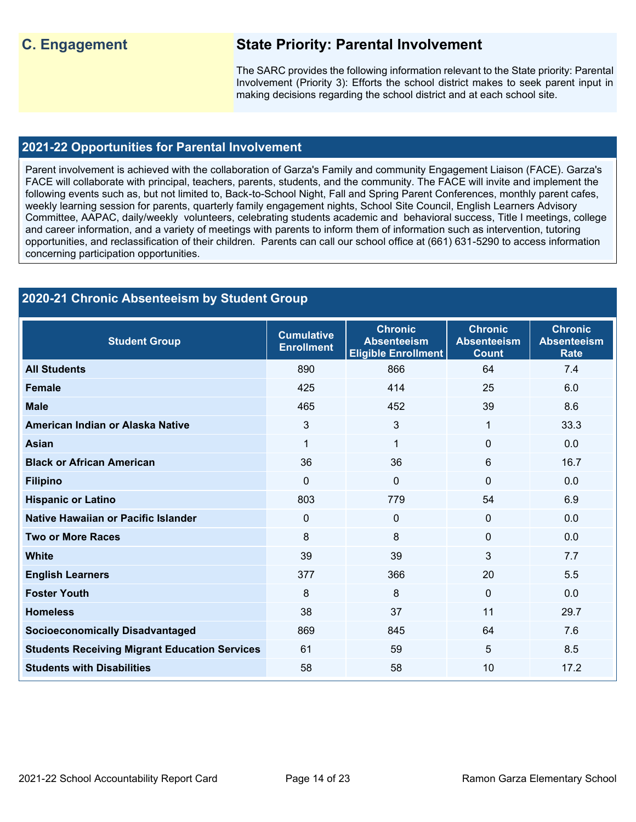## **C. Engagement State Priority: Parental Involvement**

The SARC provides the following information relevant to the State priority: Parental Involvement (Priority 3): Efforts the school district makes to seek parent input in making decisions regarding the school district and at each school site.

### **2021-22 Opportunities for Parental Involvement**

Parent involvement is achieved with the collaboration of Garza's Family and community Engagement Liaison (FACE). Garza's FACE will collaborate with principal, teachers, parents, students, and the community. The FACE will invite and implement the following events such as, but not limited to, Back-to-School Night, Fall and Spring Parent Conferences, monthly parent cafes, weekly learning session for parents, quarterly family engagement nights, School Site Council, English Learners Advisory Committee, AAPAC, daily/weekly volunteers, celebrating students academic and behavioral success, Title I meetings, college and career information, and a variety of meetings with parents to inform them of information such as intervention, tutoring opportunities, and reclassification of their children. Parents can call our school office at (661) 631-5290 to access information concerning participation opportunities.

## **2020-21 Chronic Absenteeism by Student Group**

| <b>Student Group</b>                                 | <b>Cumulative</b><br><b>Enrollment</b> | <b>Chronic</b><br><b>Absenteeism</b><br><b>Eligible Enrollment</b> | <b>Chronic</b><br><b>Absenteeism</b><br><b>Count</b> | <b>Chronic</b><br><b>Absenteeism</b><br>Rate |
|------------------------------------------------------|----------------------------------------|--------------------------------------------------------------------|------------------------------------------------------|----------------------------------------------|
| <b>All Students</b>                                  | 890                                    | 866                                                                | 64                                                   | 7.4                                          |
| <b>Female</b>                                        | 425                                    | 414                                                                | 25                                                   | 6.0                                          |
| <b>Male</b>                                          | 465                                    | 452                                                                | 39                                                   | 8.6                                          |
| American Indian or Alaska Native                     | 3                                      | 3                                                                  | 1                                                    | 33.3                                         |
| <b>Asian</b>                                         | 1                                      | 1                                                                  | 0                                                    | 0.0                                          |
| <b>Black or African American</b>                     | 36                                     | 36                                                                 | 6                                                    | 16.7                                         |
| <b>Filipino</b>                                      | $\mathbf 0$                            | $\Omega$                                                           | $\Omega$                                             | 0.0                                          |
| <b>Hispanic or Latino</b>                            | 803                                    | 779                                                                | 54                                                   | 6.9                                          |
| Native Hawaiian or Pacific Islander                  | $\mathbf{0}$                           | $\Omega$                                                           | $\Omega$                                             | 0.0                                          |
| <b>Two or More Races</b>                             | 8                                      | 8                                                                  | $\Omega$                                             | 0.0                                          |
| <b>White</b>                                         | 39                                     | 39                                                                 | 3                                                    | 7.7                                          |
| <b>English Learners</b>                              | 377                                    | 366                                                                | 20                                                   | 5.5                                          |
| <b>Foster Youth</b>                                  | 8                                      | 8                                                                  | $\mathbf 0$                                          | 0.0                                          |
| <b>Homeless</b>                                      | 38                                     | 37                                                                 | 11                                                   | 29.7                                         |
| <b>Socioeconomically Disadvantaged</b>               | 869                                    | 845                                                                | 64                                                   | 7.6                                          |
| <b>Students Receiving Migrant Education Services</b> | 61                                     | 59                                                                 | 5                                                    | 8.5                                          |
| <b>Students with Disabilities</b>                    | 58                                     | 58                                                                 | 10                                                   | 17.2                                         |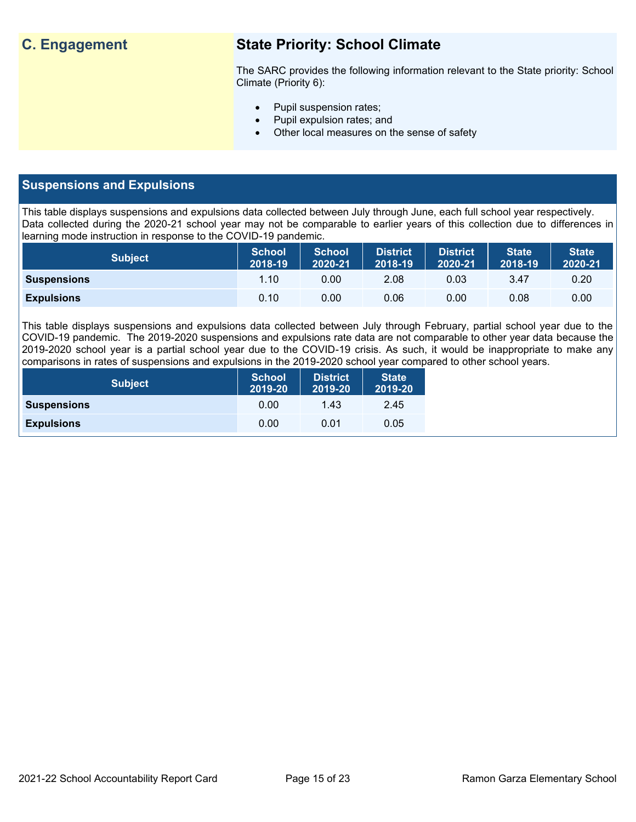## **C. Engagement State Priority: School Climate**

The SARC provides the following information relevant to the State priority: School Climate (Priority 6):

- Pupil suspension rates;
- Pupil expulsion rates; and
- Other local measures on the sense of safety

## **Suspensions and Expulsions**

This table displays suspensions and expulsions data collected between July through June, each full school year respectively. Data collected during the 2020-21 school year may not be comparable to earlier years of this collection due to differences in learning mode instruction in response to the COVID-19 pandemic.

| <b>Subject</b>     | <b>School</b><br>2018-19 | <b>School</b><br>2020-21 | District<br>2018-19 | <b>District</b><br>2020-21 | <b>State</b><br>2018-19 | <b>State</b><br>2020-21 |
|--------------------|--------------------------|--------------------------|---------------------|----------------------------|-------------------------|-------------------------|
| <b>Suspensions</b> | 1.10                     | 0.00                     | 2.08                | 0.03                       | 3.47                    | 0.20                    |
| <b>Expulsions</b>  | 0.10                     | 0.00                     | 0.06                | 0.00                       | 0.08                    | 0.00                    |

This table displays suspensions and expulsions data collected between July through February, partial school year due to the COVID-19 pandemic. The 2019-2020 suspensions and expulsions rate data are not comparable to other year data because the 2019-2020 school year is a partial school year due to the COVID-19 crisis. As such, it would be inappropriate to make any comparisons in rates of suspensions and expulsions in the 2019-2020 school year compared to other school years.

| <b>Subject</b>     | <b>School</b><br>2019-20 | <b>District</b><br>2019-20 | <b>State</b><br>2019-20 |
|--------------------|--------------------------|----------------------------|-------------------------|
| <b>Suspensions</b> | 0.00                     | 1.43                       | 2.45                    |
| <b>Expulsions</b>  | 0.00                     | 0.01                       | 0.05                    |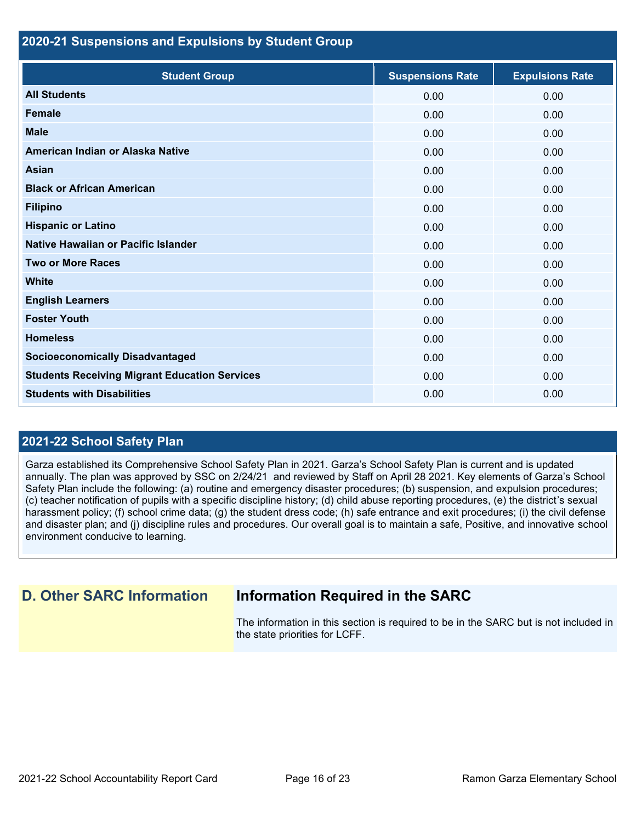#### **2020-21 Suspensions and Expulsions by Student Group**

| <b>Student Group</b>                                 | <b>Suspensions Rate</b> | <b>Expulsions Rate</b> |
|------------------------------------------------------|-------------------------|------------------------|
| <b>All Students</b>                                  | 0.00                    | 0.00                   |
| <b>Female</b>                                        | 0.00                    | 0.00                   |
| <b>Male</b>                                          | 0.00                    | 0.00                   |
| American Indian or Alaska Native                     | 0.00                    | 0.00                   |
| Asian                                                | 0.00                    | 0.00                   |
| <b>Black or African American</b>                     | 0.00                    | 0.00                   |
| <b>Filipino</b>                                      | 0.00                    | 0.00                   |
| <b>Hispanic or Latino</b>                            | 0.00                    | 0.00                   |
| Native Hawaiian or Pacific Islander                  | 0.00                    | 0.00                   |
| <b>Two or More Races</b>                             | 0.00                    | 0.00                   |
| <b>White</b>                                         | 0.00                    | 0.00                   |
| <b>English Learners</b>                              | 0.00                    | 0.00                   |
| <b>Foster Youth</b>                                  | 0.00                    | 0.00                   |
| <b>Homeless</b>                                      | 0.00                    | 0.00                   |
| <b>Socioeconomically Disadvantaged</b>               | 0.00                    | 0.00                   |
| <b>Students Receiving Migrant Education Services</b> | 0.00                    | 0.00                   |
| <b>Students with Disabilities</b>                    | 0.00                    | 0.00                   |

## **2021-22 School Safety Plan**

Garza established its Comprehensive School Safety Plan in 2021. Garza's School Safety Plan is current and is updated annually. The plan was approved by SSC on 2/24/21 and reviewed by Staff on April 28 2021. Key elements of Garza's School Safety Plan include the following: (a) routine and emergency disaster procedures; (b) suspension, and expulsion procedures; (c) teacher notification of pupils with a specific discipline history; (d) child abuse reporting procedures, (e) the district's sexual harassment policy; (f) school crime data; (g) the student dress code; (h) safe entrance and exit procedures; (i) the civil defense and disaster plan; and (j) discipline rules and procedures. Our overall goal is to maintain a safe, Positive, and innovative school environment conducive to learning.

## **D. Other SARC Information Information Required in the SARC**

The information in this section is required to be in the SARC but is not included in the state priorities for LCFF.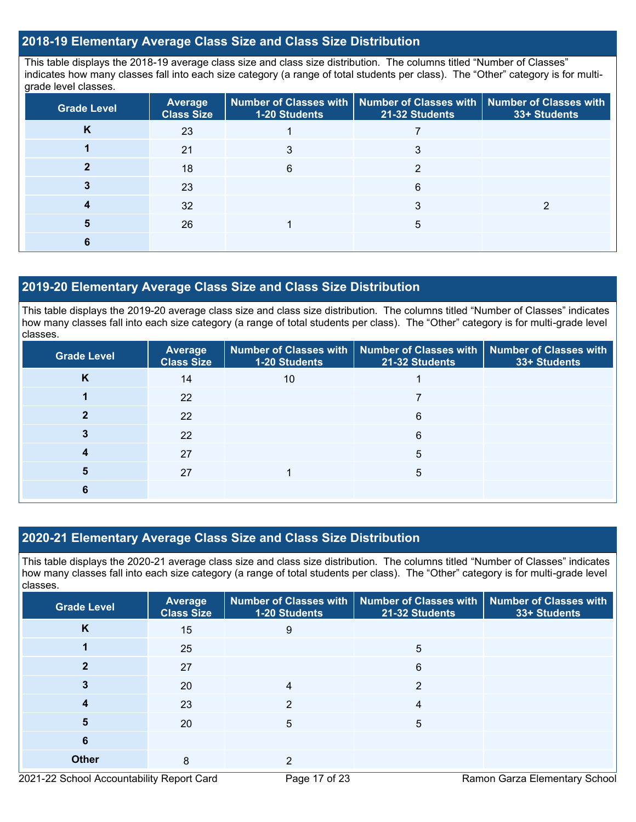### **2018-19 Elementary Average Class Size and Class Size Distribution**

This table displays the 2018-19 average class size and class size distribution. The columns titled "Number of Classes" indicates how many classes fall into each size category (a range of total students per class). The "Other" category is for multigrade level classes.

| <b>Grade Level</b> | Average<br><b>Class Size</b> | <b>1-20 Students</b> | Number of Classes with   Number of Classes with   Number of Classes with<br>21-32 Students | 33+ Students |
|--------------------|------------------------------|----------------------|--------------------------------------------------------------------------------------------|--------------|
| K                  | 23                           |                      |                                                                                            |              |
|                    | 21                           |                      |                                                                                            |              |
|                    | 18                           | 6                    | ◠                                                                                          |              |
|                    | 23                           |                      | 6                                                                                          |              |
|                    | 32                           |                      |                                                                                            |              |
|                    | 26                           |                      | 5                                                                                          |              |
|                    |                              |                      |                                                                                            |              |

### **2019-20 Elementary Average Class Size and Class Size Distribution**

This table displays the 2019-20 average class size and class size distribution. The columns titled "Number of Classes" indicates how many classes fall into each size category (a range of total students per class). The "Other" category is for multi-grade level classes.

| <b>Grade Level</b> | <b>Average</b><br><b>Class Size</b> | 1-20 Students | Number of Classes with   Number of Classes with   Number of Classes with<br>21-32 Students | 33+ Students |
|--------------------|-------------------------------------|---------------|--------------------------------------------------------------------------------------------|--------------|
| K                  | 14                                  | 10            |                                                                                            |              |
|                    | 22                                  |               |                                                                                            |              |
|                    | 22                                  |               | 6                                                                                          |              |
|                    | 22                                  |               | 6                                                                                          |              |
|                    | 27                                  |               | 5                                                                                          |              |
|                    | 27                                  |               | 5                                                                                          |              |
|                    |                                     |               |                                                                                            |              |

## **2020-21 Elementary Average Class Size and Class Size Distribution**

This table displays the 2020-21 average class size and class size distribution. The columns titled "Number of Classes" indicates how many classes fall into each size category (a range of total students per class). The "Other" category is for multi-grade level classes.

| <b>Grade Level</b> | <b>Average</b><br><b>Class Size</b> | 1-20 Students | Number of Classes with   Number of Classes with   Number of Classes with<br>21-32 Students | 33+ Students |
|--------------------|-------------------------------------|---------------|--------------------------------------------------------------------------------------------|--------------|
| K                  | 15                                  | 9             |                                                                                            |              |
|                    | 25                                  |               | 5                                                                                          |              |
|                    | 27                                  |               | 6                                                                                          |              |
| 3                  | 20                                  |               | 2                                                                                          |              |
|                    | 23                                  | 2             | 4                                                                                          |              |
| 5                  | 20                                  | 5             | 5                                                                                          |              |
| 6                  |                                     |               |                                                                                            |              |
| <b>Other</b>       | 8                                   | 2             |                                                                                            |              |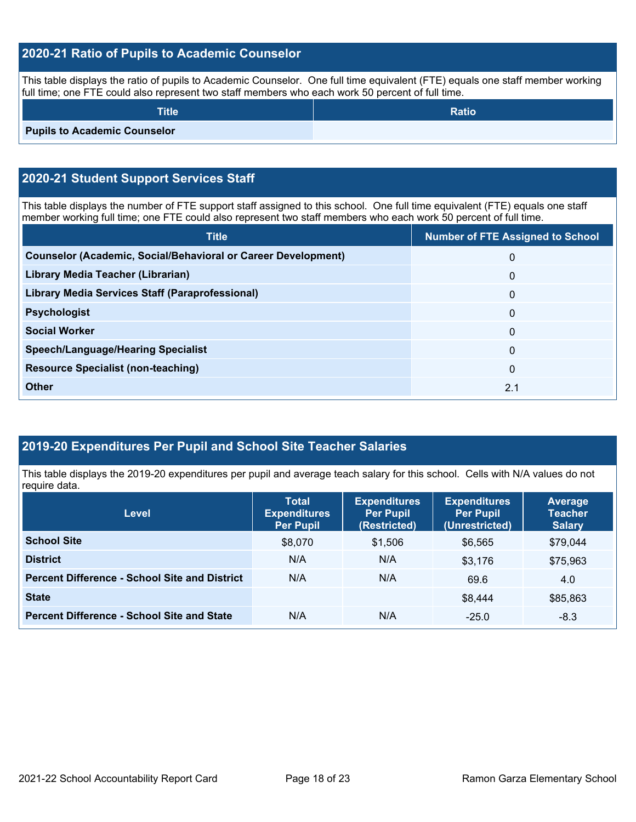## **2020-21 Ratio of Pupils to Academic Counselor**

This table displays the ratio of pupils to Academic Counselor. One full time equivalent (FTE) equals one staff member working full time; one FTE could also represent two staff members who each work 50 percent of full time.

| <b>Title</b>                        | <b>Ratio</b> |
|-------------------------------------|--------------|
| <b>Pupils to Academic Counselor</b> |              |

## **2020-21 Student Support Services Staff**

This table displays the number of FTE support staff assigned to this school. One full time equivalent (FTE) equals one staff member working full time; one FTE could also represent two staff members who each work 50 percent of full time.

| <b>Title</b>                                                         | <b>Number of FTE Assigned to School</b> |
|----------------------------------------------------------------------|-----------------------------------------|
| <b>Counselor (Academic, Social/Behavioral or Career Development)</b> | $\mathbf 0$                             |
| Library Media Teacher (Librarian)                                    | $\mathbf{0}$                            |
| Library Media Services Staff (Paraprofessional)                      | $\mathbf{0}$                            |
| <b>Psychologist</b>                                                  | $\mathbf{0}$                            |
| <b>Social Worker</b>                                                 | $\mathbf{0}$                            |
| <b>Speech/Language/Hearing Specialist</b>                            | $\Omega$                                |
| <b>Resource Specialist (non-teaching)</b>                            | 0                                       |
| <b>Other</b>                                                         | 2.1                                     |

## **2019-20 Expenditures Per Pupil and School Site Teacher Salaries**

This table displays the 2019-20 expenditures per pupil and average teach salary for this school. Cells with N/A values do not require data.

| <b>Level</b>                                         | <b>Total</b><br><b>Expenditures</b><br><b>Per Pupil</b> | <b>Expenditures</b><br><b>Per Pupil</b><br>(Restricted) | <b>Expenditures</b><br><b>Per Pupil</b><br>(Unrestricted) | <b>Average</b><br><b>Teacher</b><br><b>Salary</b> |
|------------------------------------------------------|---------------------------------------------------------|---------------------------------------------------------|-----------------------------------------------------------|---------------------------------------------------|
| <b>School Site</b>                                   | \$8,070                                                 | \$1,506                                                 | \$6,565                                                   | \$79,044                                          |
| <b>District</b>                                      | N/A                                                     | N/A                                                     | \$3,176                                                   | \$75,963                                          |
| <b>Percent Difference - School Site and District</b> | N/A                                                     | N/A                                                     | 69.6                                                      | 4.0                                               |
| <b>State</b>                                         |                                                         |                                                         | \$8,444                                                   | \$85,863                                          |
| <b>Percent Difference - School Site and State</b>    | N/A                                                     | N/A                                                     | $-25.0$                                                   | $-8.3$                                            |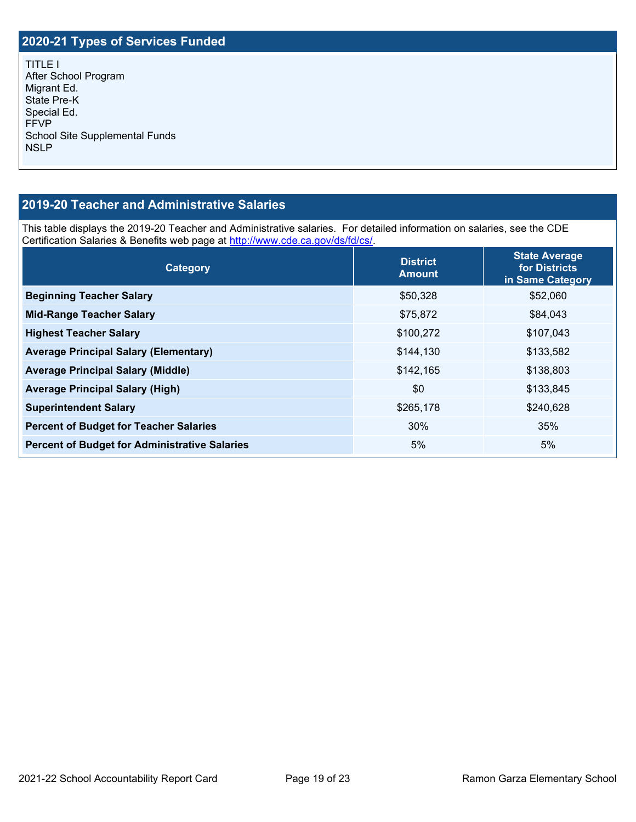## **2020-21 Types of Services Funded**

TITLE I After School Program Migrant Ed. State Pre-K Special Ed. FFVP School Site Supplemental Funds NSLP

## **2019-20 Teacher and Administrative Salaries**

This table displays the 2019-20 Teacher and Administrative salaries. For detailed information on salaries, see the CDE Certification Salaries & Benefits web page at [http://www.cde.ca.gov/ds/fd/cs/.](http://www.cde.ca.gov/ds/fd/cs/)

| Category                                             | <b>District</b><br><b>Amount</b> | <b>State Average</b><br>for Districts<br>in Same Category |
|------------------------------------------------------|----------------------------------|-----------------------------------------------------------|
| <b>Beginning Teacher Salary</b>                      | \$50,328                         | \$52,060                                                  |
| <b>Mid-Range Teacher Salary</b>                      | \$75,872                         | \$84,043                                                  |
| <b>Highest Teacher Salary</b>                        | \$100,272                        | \$107,043                                                 |
| <b>Average Principal Salary (Elementary)</b>         | \$144,130                        | \$133,582                                                 |
| <b>Average Principal Salary (Middle)</b>             | \$142,165                        | \$138,803                                                 |
| <b>Average Principal Salary (High)</b>               | \$0                              | \$133,845                                                 |
| <b>Superintendent Salary</b>                         | \$265,178                        | \$240,628                                                 |
| <b>Percent of Budget for Teacher Salaries</b>        | 30%                              | 35%                                                       |
| <b>Percent of Budget for Administrative Salaries</b> | 5%                               | 5%                                                        |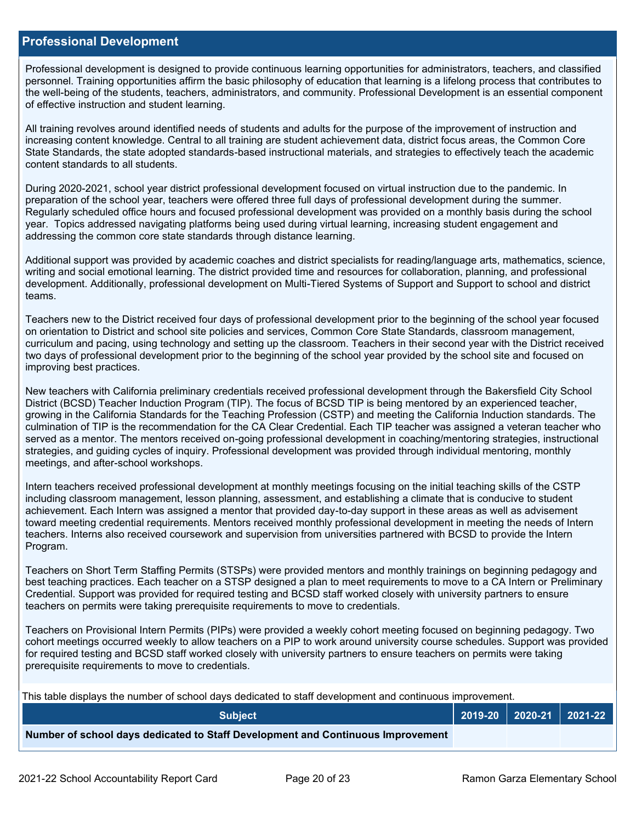#### **Professional Development**

Professional development is designed to provide continuous learning opportunities for administrators, teachers, and classified personnel. Training opportunities affirm the basic philosophy of education that learning is a lifelong process that contributes to the well-being of the students, teachers, administrators, and community. Professional Development is an essential component of effective instruction and student learning.

All training revolves around identified needs of students and adults for the purpose of the improvement of instruction and increasing content knowledge. Central to all training are student achievement data, district focus areas, the Common Core State Standards, the state adopted standards-based instructional materials, and strategies to effectively teach the academic content standards to all students.

During 2020-2021, school year district professional development focused on virtual instruction due to the pandemic. In preparation of the school year, teachers were offered three full days of professional development during the summer. Regularly scheduled office hours and focused professional development was provided on a monthly basis during the school year. Topics addressed navigating platforms being used during virtual learning, increasing student engagement and addressing the common core state standards through distance learning.

Additional support was provided by academic coaches and district specialists for reading/language arts, mathematics, science, writing and social emotional learning. The district provided time and resources for collaboration, planning, and professional development. Additionally, professional development on Multi-Tiered Systems of Support and Support to school and district teams.

Teachers new to the District received four days of professional development prior to the beginning of the school year focused on orientation to District and school site policies and services, Common Core State Standards, classroom management, curriculum and pacing, using technology and setting up the classroom. Teachers in their second year with the District received two days of professional development prior to the beginning of the school year provided by the school site and focused on improving best practices.

New teachers with California preliminary credentials received professional development through the Bakersfield City School District (BCSD) Teacher Induction Program (TIP). The focus of BCSD TIP is being mentored by an experienced teacher, growing in the California Standards for the Teaching Profession (CSTP) and meeting the California Induction standards. The culmination of TIP is the recommendation for the CA Clear Credential. Each TIP teacher was assigned a veteran teacher who served as a mentor. The mentors received on-going professional development in coaching/mentoring strategies, instructional strategies, and guiding cycles of inquiry. Professional development was provided through individual mentoring, monthly meetings, and after-school workshops.

Intern teachers received professional development at monthly meetings focusing on the initial teaching skills of the CSTP including classroom management, lesson planning, assessment, and establishing a climate that is conducive to student achievement. Each Intern was assigned a mentor that provided day-to-day support in these areas as well as advisement toward meeting credential requirements. Mentors received monthly professional development in meeting the needs of Intern teachers. Interns also received coursework and supervision from universities partnered with BCSD to provide the Intern Program.

Teachers on Short Term Staffing Permits (STSPs) were provided mentors and monthly trainings on beginning pedagogy and best teaching practices. Each teacher on a STSP designed a plan to meet requirements to move to a CA Intern or Preliminary Credential. Support was provided for required testing and BCSD staff worked closely with university partners to ensure teachers on permits were taking prerequisite requirements to move to credentials.

Teachers on Provisional Intern Permits (PIPs) were provided a weekly cohort meeting focused on beginning pedagogy. Two cohort meetings occurred weekly to allow teachers on a PIP to work around university course schedules. Support was provided for required testing and BCSD staff worked closely with university partners to ensure teachers on permits were taking prerequisite requirements to move to credentials.

This table displays the number of school days dedicated to staff development and continuous improvement.

| <b>Subiect</b>                                                                  |  | 2019-20   2020-21   2021-22 |
|---------------------------------------------------------------------------------|--|-----------------------------|
| Number of school days dedicated to Staff Development and Continuous Improvement |  |                             |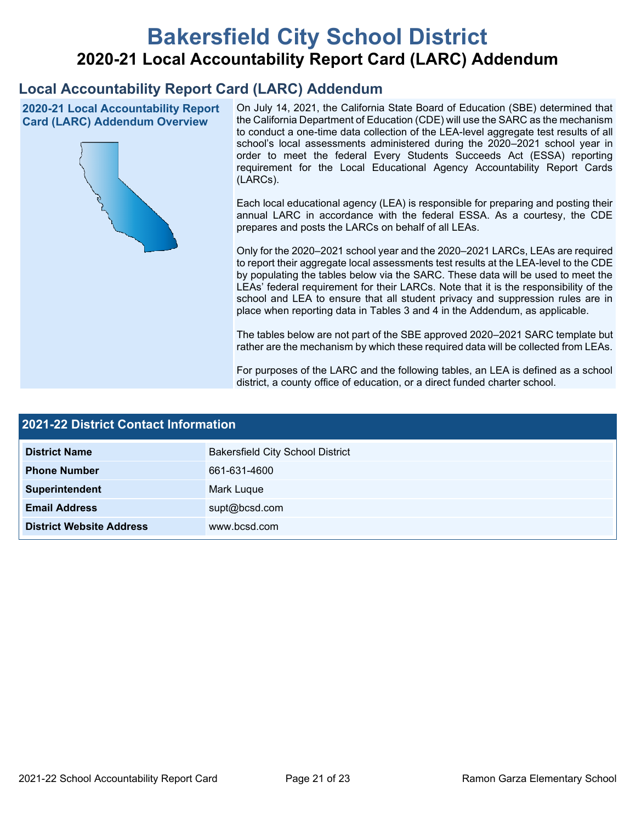# **Bakersfield City School District 2020-21 Local Accountability Report Card (LARC) Addendum**

## **Local Accountability Report Card (LARC) Addendum**

**2020-21 Local Accountability Report Card (LARC) Addendum Overview**



On July 14, 2021, the California State Board of Education (SBE) determined that the California Department of Education (CDE) will use the SARC as the mechanism to conduct a one-time data collection of the LEA-level aggregate test results of all school's local assessments administered during the 2020–2021 school year in order to meet the federal Every Students Succeeds Act (ESSA) reporting requirement for the Local Educational Agency Accountability Report Cards (LARCs).

Each local educational agency (LEA) is responsible for preparing and posting their annual LARC in accordance with the federal ESSA. As a courtesy, the CDE prepares and posts the LARCs on behalf of all LEAs.

Only for the 2020–2021 school year and the 2020–2021 LARCs, LEAs are required to report their aggregate local assessments test results at the LEA-level to the CDE by populating the tables below via the SARC. These data will be used to meet the LEAs' federal requirement for their LARCs. Note that it is the responsibility of the school and LEA to ensure that all student privacy and suppression rules are in place when reporting data in Tables 3 and 4 in the Addendum, as applicable.

The tables below are not part of the SBE approved 2020–2021 SARC template but rather are the mechanism by which these required data will be collected from LEAs.

For purposes of the LARC and the following tables, an LEA is defined as a school district, a county office of education, or a direct funded charter school.

| <b>2021-22 District Contact Information</b> |                                         |  |  |  |
|---------------------------------------------|-----------------------------------------|--|--|--|
| <b>District Name</b>                        | <b>Bakersfield City School District</b> |  |  |  |
| <b>Phone Number</b>                         | 661-631-4600                            |  |  |  |
| Superintendent                              | Mark Luque                              |  |  |  |
| <b>Email Address</b>                        | supt@bcsd.com                           |  |  |  |
| <b>District Website Address</b>             | www.bcsd.com                            |  |  |  |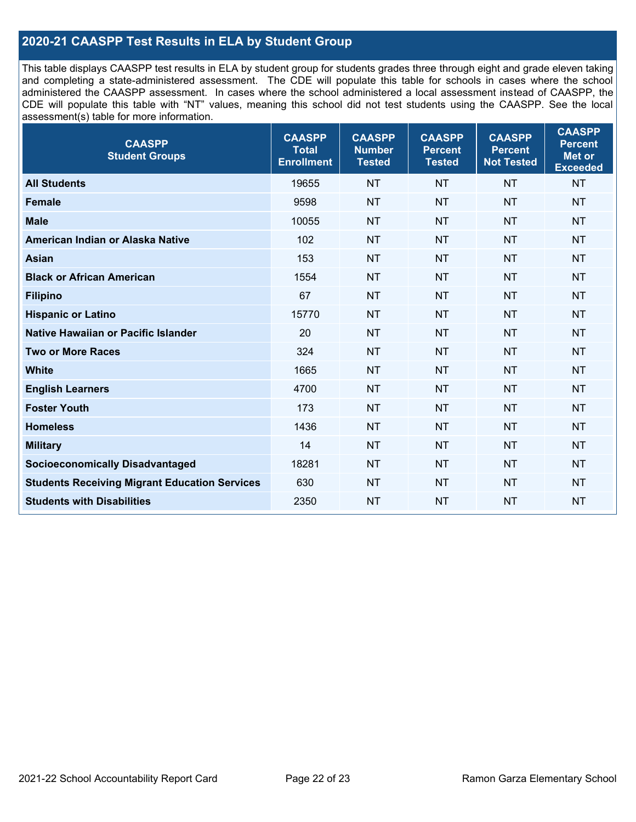## **2020-21 CAASPP Test Results in ELA by Student Group**

This table displays CAASPP test results in ELA by student group for students grades three through eight and grade eleven taking and completing a state-administered assessment. The CDE will populate this table for schools in cases where the school administered the CAASPP assessment. In cases where the school administered a local assessment instead of CAASPP, the CDE will populate this table with "NT" values, meaning this school did not test students using the CAASPP. See the local assessment(s) table for more information.

| <b>CAASPP</b><br><b>Student Groups</b>               | <b>CAASPP</b><br><b>Total</b><br><b>Enrollment</b> | <b>CAASPP</b><br><b>Number</b><br><b>Tested</b> | <b>CAASPP</b><br><b>Percent</b><br><b>Tested</b> | <b>CAASPP</b><br><b>Percent</b><br><b>Not Tested</b> | <b>CAASPP</b><br><b>Percent</b><br>Met or<br><b>Exceeded</b> |
|------------------------------------------------------|----------------------------------------------------|-------------------------------------------------|--------------------------------------------------|------------------------------------------------------|--------------------------------------------------------------|
| <b>All Students</b>                                  | 19655                                              | <b>NT</b>                                       | <b>NT</b>                                        | <b>NT</b>                                            | <b>NT</b>                                                    |
| <b>Female</b>                                        | 9598                                               | <b>NT</b>                                       | <b>NT</b>                                        | <b>NT</b>                                            | <b>NT</b>                                                    |
| <b>Male</b>                                          | 10055                                              | <b>NT</b>                                       | <b>NT</b>                                        | <b>NT</b>                                            | <b>NT</b>                                                    |
| American Indian or Alaska Native                     | 102                                                | <b>NT</b>                                       | <b>NT</b>                                        | <b>NT</b>                                            | <b>NT</b>                                                    |
| <b>Asian</b>                                         | 153                                                | <b>NT</b>                                       | <b>NT</b>                                        | <b>NT</b>                                            | <b>NT</b>                                                    |
| <b>Black or African American</b>                     | 1554                                               | <b>NT</b>                                       | <b>NT</b>                                        | <b>NT</b>                                            | NT                                                           |
| <b>Filipino</b>                                      | 67                                                 | <b>NT</b>                                       | <b>NT</b>                                        | <b>NT</b>                                            | <b>NT</b>                                                    |
| <b>Hispanic or Latino</b>                            | 15770                                              | <b>NT</b>                                       | <b>NT</b>                                        | <b>NT</b>                                            | <b>NT</b>                                                    |
| Native Hawaiian or Pacific Islander                  | 20                                                 | <b>NT</b>                                       | <b>NT</b>                                        | <b>NT</b>                                            | <b>NT</b>                                                    |
| <b>Two or More Races</b>                             | 324                                                | <b>NT</b>                                       | <b>NT</b>                                        | <b>NT</b>                                            | <b>NT</b>                                                    |
| <b>White</b>                                         | 1665                                               | <b>NT</b>                                       | <b>NT</b>                                        | <b>NT</b>                                            | <b>NT</b>                                                    |
| <b>English Learners</b>                              | 4700                                               | <b>NT</b>                                       | <b>NT</b>                                        | <b>NT</b>                                            | <b>NT</b>                                                    |
| <b>Foster Youth</b>                                  | 173                                                | <b>NT</b>                                       | <b>NT</b>                                        | <b>NT</b>                                            | <b>NT</b>                                                    |
| <b>Homeless</b>                                      | 1436                                               | <b>NT</b>                                       | <b>NT</b>                                        | <b>NT</b>                                            | <b>NT</b>                                                    |
| <b>Military</b>                                      | 14                                                 | <b>NT</b>                                       | <b>NT</b>                                        | <b>NT</b>                                            | <b>NT</b>                                                    |
| <b>Socioeconomically Disadvantaged</b>               | 18281                                              | <b>NT</b>                                       | <b>NT</b>                                        | <b>NT</b>                                            | <b>NT</b>                                                    |
| <b>Students Receiving Migrant Education Services</b> | 630                                                | <b>NT</b>                                       | <b>NT</b>                                        | <b>NT</b>                                            | NT                                                           |
| <b>Students with Disabilities</b>                    | 2350                                               | <b>NT</b>                                       | <b>NT</b>                                        | <b>NT</b>                                            | NT                                                           |